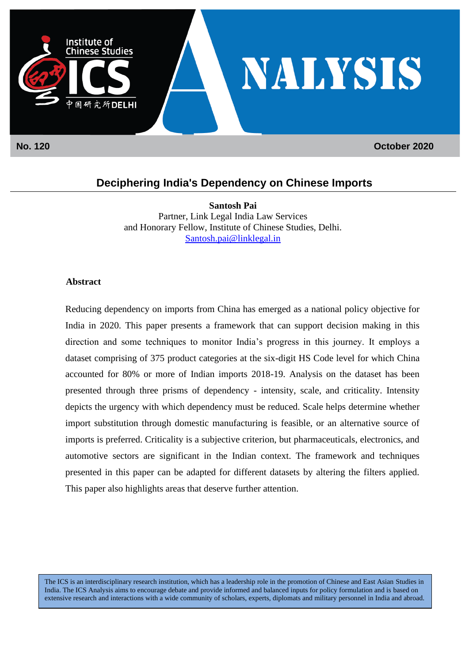

## **Deciphering India's Dependency on Chinese Imports**

**Santosh Pai** Partner, Link Legal India Law Services and Honorary Fellow, Institute of Chinese Studies, Delhi. [Santosh.pai@linklegal.in](mailto:Santosh.pai@linklegal.in)

## **Abstract**

Reducing dependency on imports from China has emerged as a national policy objective for India in 2020. This paper presents a framework that can support decision making in this direction and some techniques to monitor India's progress in this journey. It employs a dataset comprising of 375 product categories at the six-digit HS Code level for which China accounted for 80% or more of Indian imports 2018-19. Analysis on the dataset has been presented through three prisms of dependency - intensity, scale, and criticality. Intensity depicts the urgency with which dependency must be reduced. Scale helps determine whether import substitution through domestic manufacturing is feasible, or an alternative source of imports is preferred. Criticality is a subjective criterion, but pharmaceuticals, electronics, and automotive sectors are significant in the Indian context. The framework and techniques presented in this paper can be adapted for different datasets by altering the filters applied. This paper also highlights areas that deserve further attention.

The ICS is an interdisciplinary research institution, which has a leadership role in the promotion of Chinese and East Asian Studies in India. The ICS Analysis aims to encourage debate and provide informed and balanced inputs for policy formulation and is based on extensive research and interactions with a wide community of scholars, experts, diplomats and military personnel in India and abroad.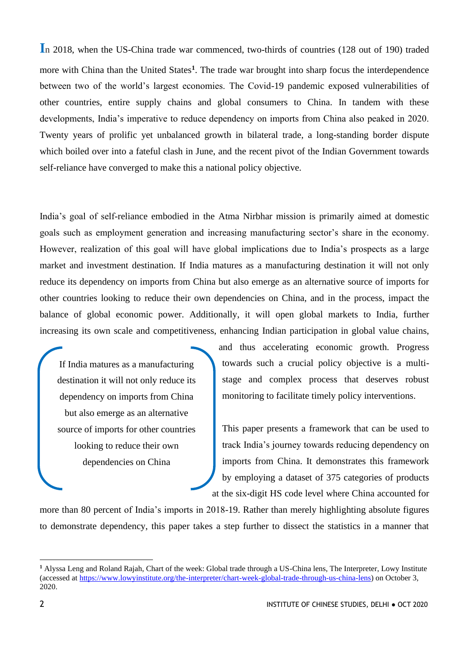**I**n 2018, when the US-China trade war commenced, two-thirds of countries (128 out of 190) traded more with China than the United States**<sup>1</sup>** . The trade war brought into sharp focus the interdependence between two of the world's largest economies. The Covid-19 pandemic exposed vulnerabilities of other countries, entire supply chains and global consumers to China. In tandem with these developments, India's imperative to reduce dependency on imports from China also peaked in 2020. Twenty years of prolific yet unbalanced growth in bilateral trade, a long-standing border dispute which boiled over into a fateful clash in June, and the recent pivot of the Indian Government towards self-reliance have converged to make this a national policy objective.

India's goal of self-reliance embodied in the Atma Nirbhar mission is primarily aimed at domestic goals such as employment generation and increasing manufacturing sector's share in the economy. However, realization of this goal will have global implications due to India's prospects as a large market and investment destination. If India matures as a manufacturing destination it will not only reduce its dependency on imports from China but also emerge as an alternative source of imports for other countries looking to reduce their own dependencies on China, and in the process, impact the balance of global economic power. Additionally, it will open global markets to India, further increasing its own scale and competitiveness, enhancing Indian participation in global value chains,

If India matures as a manufacturing destination it will not only reduce its dependency on imports from China but also emerge as an alternative source of imports for other countries looking to reduce their own dependencies on China

and thus accelerating economic growth. Progress towards such a crucial policy objective is a multistage and complex process that deserves robust monitoring to facilitate timely policy interventions.

This paper presents a framework that can be used to track India's journey towards reducing dependency on imports from China. It demonstrates this framework by employing a dataset of 375 categories of products at the six-digit HS code level where China accounted for

more than 80 percent of India's imports in 2018-19. Rather than merely highlighting absolute figures to demonstrate dependency, this paper takes a step further to dissect the statistics in a manner that

**<sup>1</sup>** Alyssa Leng and Roland Rajah, Chart of the week: Global trade through a US-China lens, The Interpreter, Lowy Institute (accessed at [https://www.lowyinstitute.org/the-interpreter/chart-week-global-trade-through-us-china-lens\)](https://www.lowyinstitute.org/the-interpreter/chart-week-global-trade-through-us-china-lens) on October 3, 2020.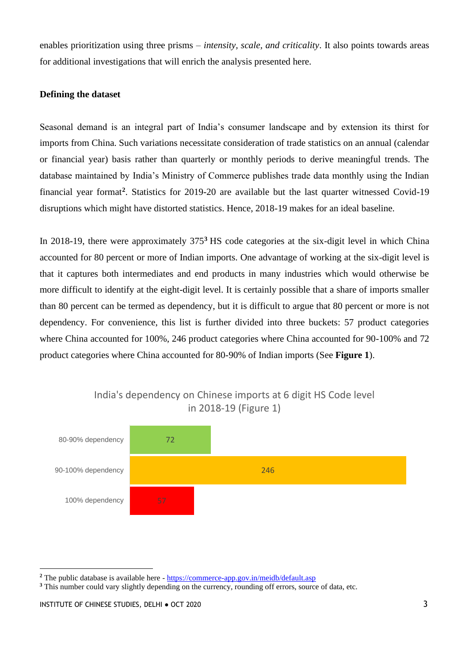enables prioritization using three prisms – *intensity, scale, and criticality*. It also points towards areas for additional investigations that will enrich the analysis presented here.

## **Defining the dataset**

Seasonal demand is an integral part of India's consumer landscape and by extension its thirst for imports from China. Such variations necessitate consideration of trade statistics on an annual (calendar or financial year) basis rather than quarterly or monthly periods to derive meaningful trends. The database maintained by India's Ministry of Commerce publishes trade data monthly using the Indian financial year format**<sup>2</sup>** . Statistics for 2019-20 are available but the last quarter witnessed Covid-19 disruptions which might have distorted statistics. Hence, 2018-19 makes for an ideal baseline.

In 2018-19, there were approximately 375**<sup>3</sup>** HS code categories at the six-digit level in which China accounted for 80 percent or more of Indian imports. One advantage of working at the six-digit level is that it captures both intermediates and end products in many industries which would otherwise be more difficult to identify at the eight-digit level. It is certainly possible that a share of imports smaller than 80 percent can be termed as dependency, but it is difficult to argue that 80 percent or more is not dependency. For convenience, this list is further divided into three buckets: 57 product categories where China accounted for 100%, 246 product categories where China accounted for 90-100% and 72 product categories where China accounted for 80-90% of Indian imports (See **Figure 1**).



## India's dependency on Chinese imports at 6 digit HS Code level in 2018-19 (Figure 1)

**<sup>2</sup>** The public database is available here - <https://commerce-app.gov.in/meidb/default.asp>

**<sup>3</sup>** This number could vary slightly depending on the currency, rounding off errors, source of data, etc.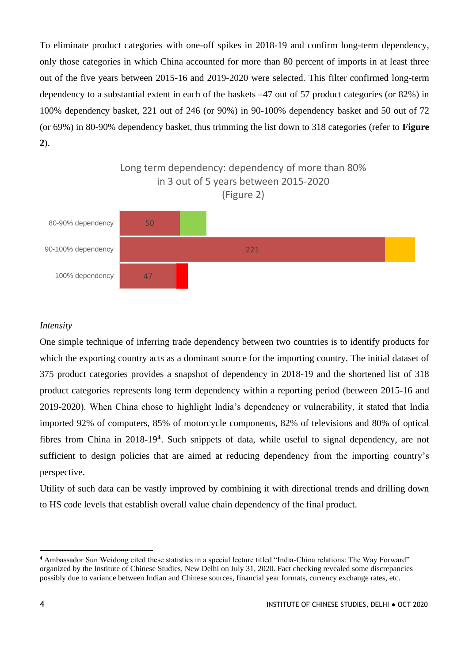To eliminate product categories with one-off spikes in 2018-19 and confirm long-term dependency, only those categories in which China accounted for more than 80 percent of imports in at least three out of the five years between 2015-16 and 2019-2020 were selected. This filter confirmed long-term dependency to a substantial extent in each of the baskets –47 out of 57 product categories (or 82%) in 100% dependency basket, 221 out of 246 (or 90%) in 90-100% dependency basket and 50 out of 72 (or 69%) in 80-90% dependency basket, thus trimming the list down to 318 categories (refer to **Figure 2**).



### *Intensity*

One simple technique of inferring trade dependency between two countries is to identify products for which the exporting country acts as a dominant source for the importing country. The initial dataset of 375 product categories provides a snapshot of dependency in 2018-19 and the shortened list of 318 product categories represents long term dependency within a reporting period (between 2015-16 and 2019-2020). When China chose to highlight India's dependency or vulnerability, it stated that India imported 92% of computers, 85% of motorcycle components, 82% of televisions and 80% of optical fibres from China in 2018-19**<sup>4</sup>** . Such snippets of data, while useful to signal dependency, are not sufficient to design policies that are aimed at reducing dependency from the importing country's perspective.

Utility of such data can be vastly improved by combining it with directional trends and drilling down to HS code levels that establish overall value chain dependency of the final product.

**<sup>4</sup>** Ambassador Sun Weidong cited these statistics in a special lecture titled "India-China relations: The Way Forward" organized by the Institute of Chinese Studies, New Delhi on July 31, 2020. Fact checking revealed some discrepancies possibly due to variance between Indian and Chinese sources, financial year formats, currency exchange rates, etc.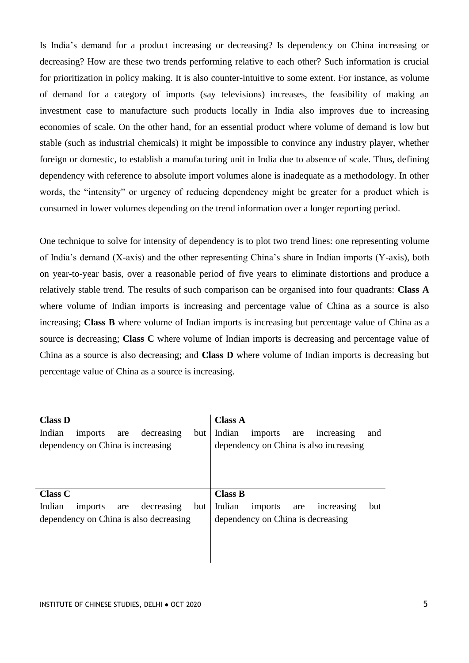Is India's demand for a product increasing or decreasing? Is dependency on China increasing or decreasing? How are these two trends performing relative to each other? Such information is crucial for prioritization in policy making. It is also counter-intuitive to some extent. For instance, as volume of demand for a category of imports (say televisions) increases, the feasibility of making an investment case to manufacture such products locally in India also improves due to increasing economies of scale. On the other hand, for an essential product where volume of demand is low but stable (such as industrial chemicals) it might be impossible to convince any industry player, whether foreign or domestic, to establish a manufacturing unit in India due to absence of scale. Thus, defining dependency with reference to absolute import volumes alone is inadequate as a methodology. In other words, the "intensity" or urgency of reducing dependency might be greater for a product which is consumed in lower volumes depending on the trend information over a longer reporting period.

One technique to solve for intensity of dependency is to plot two trend lines: one representing volume of India's demand (X-axis) and the other representing China's share in Indian imports (Y-axis), both on year-to-year basis, over a reasonable period of five years to eliminate distortions and produce a relatively stable trend. The results of such comparison can be organised into four quadrants: **Class A** where volume of Indian imports is increasing and percentage value of China as a source is also increasing; **Class B** where volume of Indian imports is increasing but percentage value of China as a source is decreasing; **Class C** where volume of Indian imports is decreasing and percentage value of China as a source is also decreasing; and **Class D** where volume of Indian imports is decreasing but percentage value of China as a source is increasing.

| <b>Class D</b>                                                                          | <b>Class A</b>                                                                          |
|-----------------------------------------------------------------------------------------|-----------------------------------------------------------------------------------------|
| Indian<br>decreasing<br>imports<br>but<br>are<br>dependency on China is increasing      | Indian<br>imports<br>increasing<br>and<br>are<br>dependency on China is also increasing |
| <b>Class C</b>                                                                          | <b>Class B</b>                                                                          |
| Indian<br>decreasing<br>but<br>imports<br>are<br>dependency on China is also decreasing | Indian<br>imports<br>but<br>increasing<br>are<br>dependency on China is decreasing      |
|                                                                                         |                                                                                         |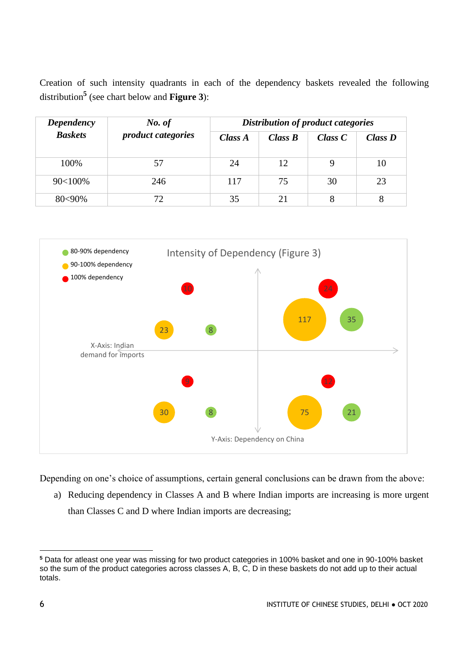Creation of such intensity quadrants in each of the dependency baskets revealed the following distribution**<sup>5</sup>** (see chart below and **Figure 3**):

| <b>Dependency</b><br><b>Baskets</b> | No. of<br><i>product categories</i> | Distribution of product categories |         |           |            |
|-------------------------------------|-------------------------------------|------------------------------------|---------|-----------|------------|
|                                     |                                     | Class A                            | Class B | Class $C$ | $Class\,D$ |
| 100%                                | 57                                  | 24                                 | 12      | 9         | 10         |
| 90<100%                             | 246                                 | 117                                | 75      | 30        | 23         |
| $80<90\%$                           | 72                                  | 35                                 | 21      | 8         | 8          |



Depending on one's choice of assumptions, certain general conclusions can be drawn from the above:

a) Reducing dependency in Classes A and B where Indian imports are increasing is more urgent than Classes C and D where Indian imports are decreasing;

**<sup>5</sup>** Data for atleast one year was missing for two product categories in 100% basket and one in 90-100% basket so the sum of the product categories across classes A, B, C, D in these baskets do not add up to their actual totals.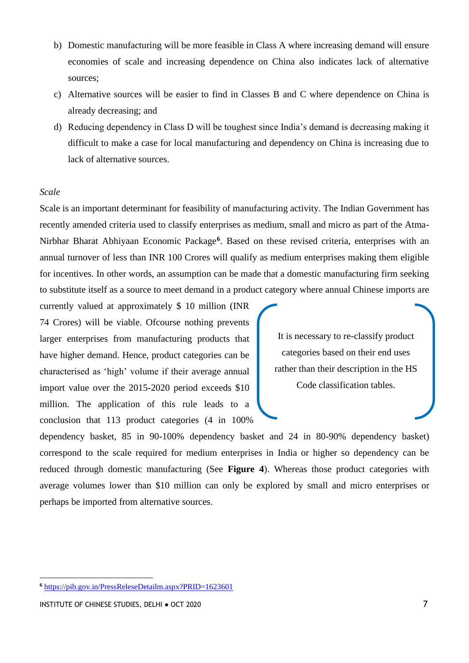- b) Domestic manufacturing will be more feasible in Class A where increasing demand will ensure economies of scale and increasing dependence on China also indicates lack of alternative sources;
- c) Alternative sources will be easier to find in Classes B and C where dependence on China is already decreasing; and
- d) Reducing dependency in Class D will be toughest since India's demand is decreasing making it difficult to make a case for local manufacturing and dependency on China is increasing due to lack of alternative sources.

### *Scale*

Scale is an important determinant for feasibility of manufacturing activity. The Indian Government has recently amended criteria used to classify enterprises as medium, small and micro as part of the Atma-Nirbhar Bharat Abhiyaan Economic Package**<sup>6</sup>** . Based on these revised criteria, enterprises with an annual turnover of less than INR 100 Crores will qualify as medium enterprises making them eligible for incentives. In other words, an assumption can be made that a domestic manufacturing firm seeking to substitute itself as a source to meet demand in a product category where annual Chinese imports are

currently valued at approximately \$ 10 million (INR 74 Crores) will be viable. Ofcourse nothing prevents larger enterprises from manufacturing products that have higher demand. Hence, product categories can be characterised as 'high' volume if their average annual import value over the 2015-2020 period exceeds \$10 million. The application of this rule leads to a conclusion that 113 product categories (4 in 100%

It is necessary to re-classify product categories based on their end uses rather than their description in the HS Code classification tables.

dependency basket, 85 in 90-100% dependency basket and 24 in 80-90% dependency basket) correspond to the scale required for medium enterprises in India or higher so dependency can be reduced through domestic manufacturing (See **Figure 4**). Whereas those product categories with average volumes lower than \$10 million can only be explored by small and micro enterprises or perhaps be imported from alternative sources.

**<sup>6</sup>** <https://pib.gov.in/PressReleseDetailm.aspx?PRID=1623601>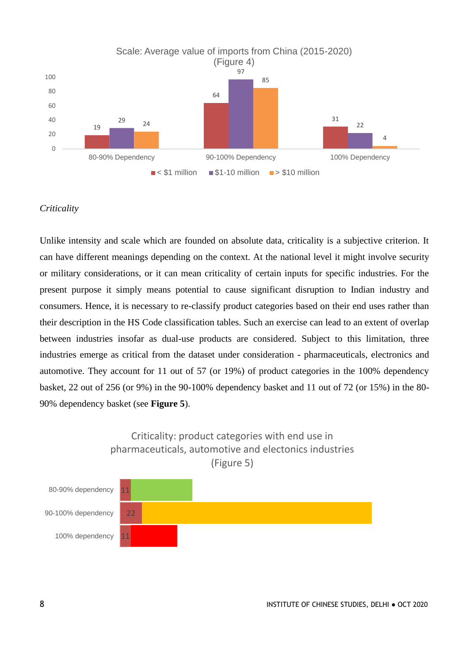

### *Criticality*

Unlike intensity and scale which are founded on absolute data, criticality is a subjective criterion. It can have different meanings depending on the context. At the national level it might involve security or military considerations, or it can mean criticality of certain inputs for specific industries. For the present purpose it simply means potential to cause significant disruption to Indian industry and consumers. Hence, it is necessary to re-classify product categories based on their end uses rather than their description in the HS Code classification tables. Such an exercise can lead to an extent of overlap between industries insofar as dual-use products are considered. Subject to this limitation, three industries emerge as critical from the dataset under consideration - pharmaceuticals, electronics and automotive. They account for 11 out of 57 (or 19%) of product categories in the 100% dependency basket, 22 out of 256 (or 9%) in the 90-100% dependency basket and 11 out of 72 (or 15%) in the 80- 90% dependency basket (see **Figure 5**).

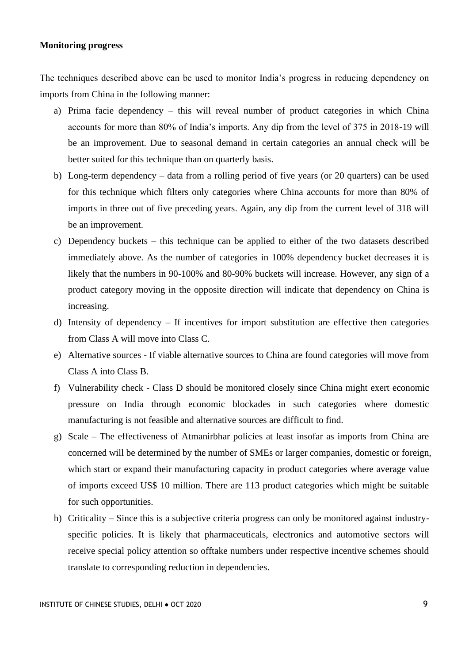#### **Monitoring progress**

The techniques described above can be used to monitor India's progress in reducing dependency on imports from China in the following manner:

- a) Prima facie dependency this will reveal number of product categories in which China accounts for more than 80% of India's imports. Any dip from the level of 375 in 2018-19 will be an improvement. Due to seasonal demand in certain categories an annual check will be better suited for this technique than on quarterly basis.
- b) Long-term dependency data from a rolling period of five years (or 20 quarters) can be used for this technique which filters only categories where China accounts for more than 80% of imports in three out of five preceding years. Again, any dip from the current level of 318 will be an improvement.
- c) Dependency buckets this technique can be applied to either of the two datasets described immediately above. As the number of categories in 100% dependency bucket decreases it is likely that the numbers in 90-100% and 80-90% buckets will increase. However, any sign of a product category moving in the opposite direction will indicate that dependency on China is increasing.
- d) Intensity of dependency If incentives for import substitution are effective then categories from Class A will move into Class C.
- e) Alternative sources If viable alternative sources to China are found categories will move from Class A into Class B.
- f) Vulnerability check Class D should be monitored closely since China might exert economic pressure on India through economic blockades in such categories where domestic manufacturing is not feasible and alternative sources are difficult to find.
- g) Scale The effectiveness of Atmanirbhar policies at least insofar as imports from China are concerned will be determined by the number of SMEs or larger companies, domestic or foreign, which start or expand their manufacturing capacity in product categories where average value of imports exceed US\$ 10 million. There are 113 product categories which might be suitable for such opportunities.
- h) Criticality Since this is a subjective criteria progress can only be monitored against industryspecific policies. It is likely that pharmaceuticals, electronics and automotive sectors will receive special policy attention so offtake numbers under respective incentive schemes should translate to corresponding reduction in dependencies.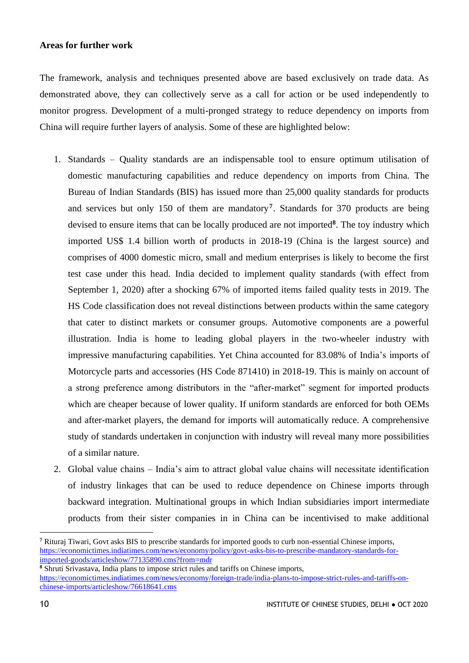#### **Areas for further work**

The framework, analysis and techniques presented above are based exclusively on trade data. As demonstrated above, they can collectively serve as a call for action or be used independently to monitor progress. Development of a multi-pronged strategy to reduce dependency on imports from China will require further layers of analysis. Some of these are highlighted below:

- 1. Standards Quality standards are an indispensable tool to ensure optimum utilisation of domestic manufacturing capabilities and reduce dependency on imports from China. The Bureau of Indian Standards (BIS) has issued more than 25,000 quality standards for products and services but only 150 of them are mandatory**<sup>7</sup>** . Standards for 370 products are being devised to ensure items that can be locally produced are not imported**<sup>8</sup>** . The toy industry which imported US\$ 1.4 billion worth of products in 2018-19 (China is the largest source) and comprises of 4000 domestic micro, small and medium enterprises is likely to become the first test case under this head. India decided to implement quality standards (with effect from September 1, 2020) after a shocking 67% of imported items failed quality tests in 2019. The HS Code classification does not reveal distinctions between products within the same category that cater to distinct markets or consumer groups. Automotive components are a powerful illustration. India is home to leading global players in the two-wheeler industry with impressive manufacturing capabilities. Yet China accounted for 83.08% of India's imports of Motorcycle parts and accessories (HS Code 871410) in 2018-19. This is mainly on account of a strong preference among distributors in the "after-market" segment for imported products which are cheaper because of lower quality. If uniform standards are enforced for both OEMs and after-market players, the demand for imports will automatically reduce. A comprehensive study of standards undertaken in conjunction with industry will reveal many more possibilities of a similar nature.
- 2. Global value chains India's aim to attract global value chains will necessitate identification of industry linkages that can be used to reduce dependence on Chinese imports through backward integration. Multinational groups in which Indian subsidiaries import intermediate products from their sister companies in in China can be incentivised to make additional

**<sup>8</sup>** Shruti Srivastava, India plans to impose strict rules and tariffs on Chinese imports,

**<sup>7</sup>** Rituraj Tiwari, Govt asks BIS to prescribe standards for imported goods to curb non-essential Chinese imports, [https://economictimes.indiatimes.com/news/economy/policy/govt-asks-bis-to-prescribe-mandatory-standards-for](https://economictimes.indiatimes.com/news/economy/policy/govt-asks-bis-to-prescribe-mandatory-standards-for-imported-goods/articleshow/77135890.cms?from=mdr)[imported-goods/articleshow/77135890.cms?from=mdr](https://economictimes.indiatimes.com/news/economy/policy/govt-asks-bis-to-prescribe-mandatory-standards-for-imported-goods/articleshow/77135890.cms?from=mdr)

[https://economictimes.indiatimes.com/news/economy/foreign-trade/india-plans-to-impose-strict-rules-and-tariffs-on](https://economictimes.indiatimes.com/news/economy/foreign-trade/india-plans-to-impose-strict-rules-and-tariffs-on-chinese-imports/articleshow/76618641.cms)[chinese-imports/articleshow/76618641.cms](https://economictimes.indiatimes.com/news/economy/foreign-trade/india-plans-to-impose-strict-rules-and-tariffs-on-chinese-imports/articleshow/76618641.cms)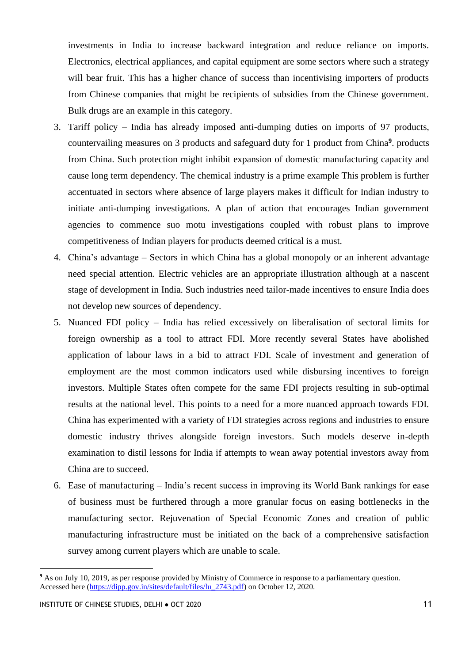investments in India to increase backward integration and reduce reliance on imports. Electronics, electrical appliances, and capital equipment are some sectors where such a strategy will bear fruit. This has a higher chance of success than incentivising importers of products from Chinese companies that might be recipients of subsidies from the Chinese government. Bulk drugs are an example in this category.

- 3. Tariff policy India has already imposed anti-dumping duties on imports of 97 products, countervailing measures on 3 products and safeguard duty for 1 product from China**<sup>9</sup>** . products from China. Such protection might inhibit expansion of domestic manufacturing capacity and cause long term dependency. The chemical industry is a prime example This problem is further accentuated in sectors where absence of large players makes it difficult for Indian industry to initiate anti-dumping investigations. A plan of action that encourages Indian government agencies to commence suo motu investigations coupled with robust plans to improve competitiveness of Indian players for products deemed critical is a must.
- 4. China's advantage Sectors in which China has a global monopoly or an inherent advantage need special attention. Electric vehicles are an appropriate illustration although at a nascent stage of development in India. Such industries need tailor-made incentives to ensure India does not develop new sources of dependency.
- 5. Nuanced FDI policy India has relied excessively on liberalisation of sectoral limits for foreign ownership as a tool to attract FDI. More recently several States have abolished application of labour laws in a bid to attract FDI. Scale of investment and generation of employment are the most common indicators used while disbursing incentives to foreign investors. Multiple States often compete for the same FDI projects resulting in sub-optimal results at the national level. This points to a need for a more nuanced approach towards FDI. China has experimented with a variety of FDI strategies across regions and industries to ensure domestic industry thrives alongside foreign investors. Such models deserve in-depth examination to distil lessons for India if attempts to wean away potential investors away from China are to succeed.
- 6. Ease of manufacturing India's recent success in improving its World Bank rankings for ease of business must be furthered through a more granular focus on easing bottlenecks in the manufacturing sector. Rejuvenation of Special Economic Zones and creation of public manufacturing infrastructure must be initiated on the back of a comprehensive satisfaction survey among current players which are unable to scale.

<sup>&</sup>lt;sup>9</sup> As on July 10, 2019, as per response provided by Ministry of Commerce in response to a parliamentary question. Accessed here [\(https://dipp.gov.in/sites/default/files/lu\\_2743.pdf\)](https://dipp.gov.in/sites/default/files/lu_2743.pdf) on October 12, 2020.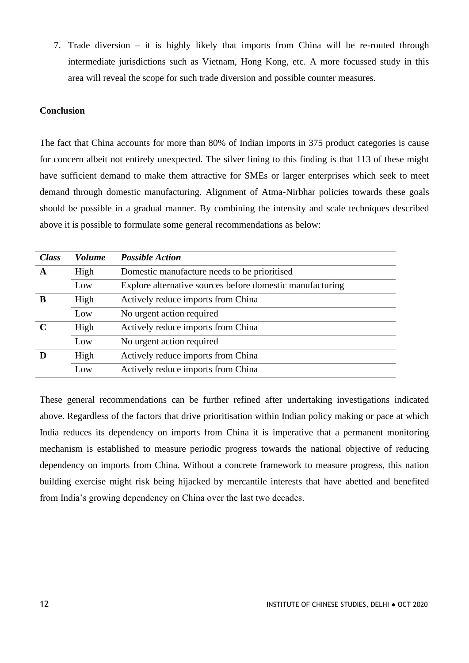7. Trade diversion – it is highly likely that imports from China will be re-routed through intermediate jurisdictions such as Vietnam, Hong Kong, etc. A more focussed study in this area will reveal the scope for such trade diversion and possible counter measures.

## **Conclusion**

The fact that China accounts for more than 80% of Indian imports in 375 product categories is cause for concern albeit not entirely unexpected. The silver lining to this finding is that 113 of these might have sufficient demand to make them attractive for SMEs or larger enterprises which seek to meet demand through domestic manufacturing. Alignment of Atma-Nirbhar policies towards these goals should be possible in a gradual manner. By combining the intensity and scale techniques described above it is possible to formulate some general recommendations as below:

| <b>Class</b> | <b>Volume</b> | <b>Possible Action</b>                                    |
|--------------|---------------|-----------------------------------------------------------|
| A            | High          | Domestic manufacture needs to be prioritised              |
|              | Low           | Explore alternative sources before domestic manufacturing |
| B            | High          | Actively reduce imports from China                        |
|              | Low           | No urgent action required                                 |
|              | High          | Actively reduce imports from China                        |
|              | Low           | No urgent action required                                 |
|              | High          | Actively reduce imports from China                        |
|              | Low           | Actively reduce imports from China                        |

These general recommendations can be further refined after undertaking investigations indicated above. Regardless of the factors that drive prioritisation within Indian policy making or pace at which India reduces its dependency on imports from China it is imperative that a permanent monitoring mechanism is established to measure periodic progress towards the national objective of reducing dependency on imports from China. Without a concrete framework to measure progress, this nation building exercise might risk being hijacked by mercantile interests that have abetted and benefited from India's growing dependency on China over the last two decades.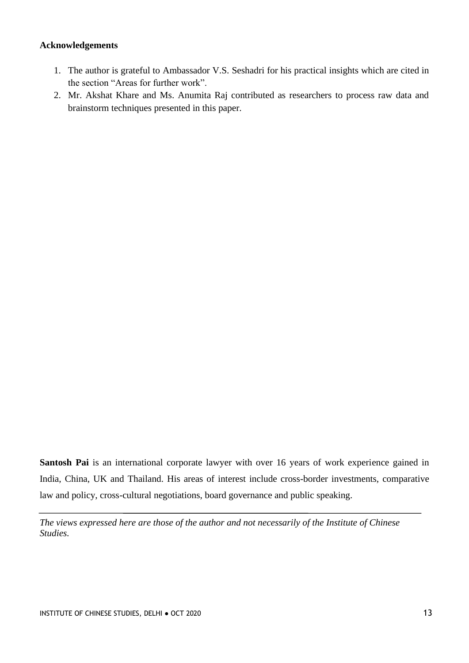### **Acknowledgements**

- 1. The author is grateful to Ambassador V.S. Seshadri for his practical insights which are cited in the section "Areas for further work".
- 2. Mr. Akshat Khare and Ms. Anumita Raj contributed as researchers to process raw data and brainstorm techniques presented in this paper.

**Santosh Pai** is an international corporate lawyer with over 16 years of work experience gained in India, China, UK and Thailand. His areas of interest include cross-border investments, comparative law and policy, cross-cultural negotiations, board governance and public speaking.

*The views expressed here are those of the author and not necessarily of the Institute of Chinese Studies.*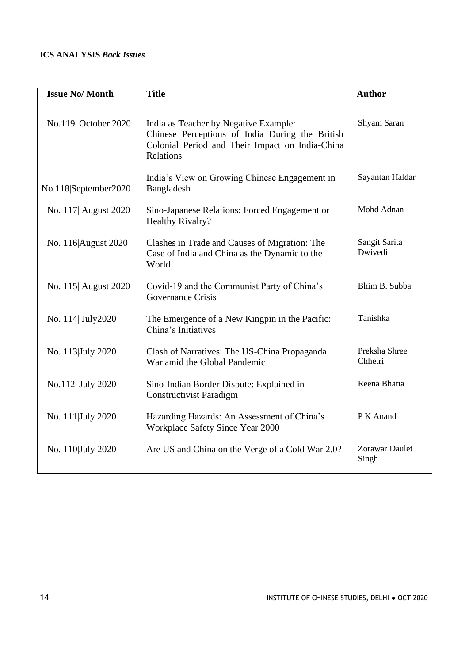## **ICS ANALYSIS** *Back Issues*

| <b>Issue No/Month</b> | <b>Title</b>                                                                                                                                             | <b>Author</b>                  |
|-----------------------|----------------------------------------------------------------------------------------------------------------------------------------------------------|--------------------------------|
| No.119 October 2020   | India as Teacher by Negative Example:<br>Chinese Perceptions of India During the British<br>Colonial Period and Their Impact on India-China<br>Relations | Shyam Saran                    |
| No.118 September2020  | India's View on Growing Chinese Engagement in<br>Bangladesh                                                                                              | Sayantan Haldar                |
| No. 117 August 2020   | Sino-Japanese Relations: Forced Engagement or<br><b>Healthy Rivalry?</b>                                                                                 | Mohd Adnan                     |
| No. 116 August 2020   | Clashes in Trade and Causes of Migration: The<br>Case of India and China as the Dynamic to the<br>World                                                  | Sangit Sarita<br>Dwivedi       |
| No. 115 August 2020   | Covid-19 and the Communist Party of China's<br>Governance Crisis                                                                                         | Bhim B. Subba                  |
| No. 114 July2020      | The Emergence of a New Kingpin in the Pacific:<br>China's Initiatives                                                                                    | Tanishka                       |
| No. 113 July 2020     | Clash of Narratives: The US-China Propaganda<br>War amid the Global Pandemic                                                                             | Preksha Shree<br>Chhetri       |
| No.112 July 2020      | Sino-Indian Border Dispute: Explained in<br><b>Constructivist Paradigm</b>                                                                               | Reena Bhatia                   |
| No. 111 July 2020     | Hazarding Hazards: An Assessment of China's<br>Workplace Safety Since Year 2000                                                                          | P K Anand                      |
| No. 110 July 2020     | Are US and China on the Verge of a Cold War 2.0?                                                                                                         | <b>Zorawar Daulet</b><br>Singh |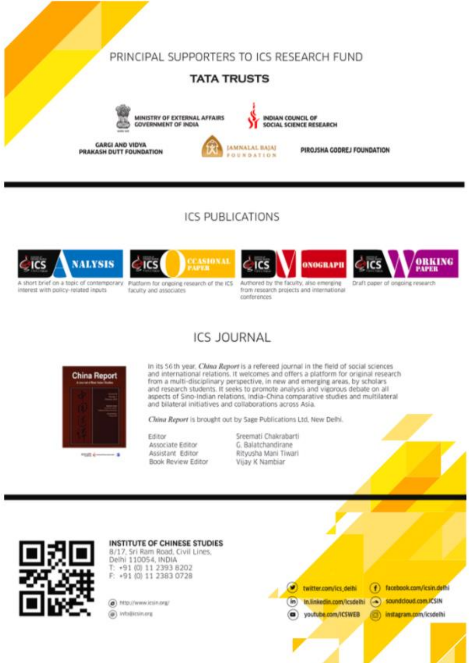## PRINCIPAL SUPPORTERS TO ICS RESEARCH FUND

## **TATA TRUSTS**



MINISTRY OF EXTERNAL AFFAIRS **COVERNMENT OF INDIA** 

**GARGI AND VIDYA** PRAKASH DUTT FOUNDATION



INDIAN COUNCIL OF SOCIAL SCIENCE RESEARCH

PIROJSHA GODREJ FOUNDATION

# **ICS PUBLICATIONS**



interest with policy-related inputs



Platform for onepine research of the ICS faculty and associates



Authored by the faculty, also emerging from research projects and international conterences



# **ICS JOURNAL**



In its 56th year, China Report is a refereed journal in the field of social sciences and international relations. It welcomes and offers a platform for original research from a multi-disciplinary perspective, in new and emerging areas, by scholars and research students. It seeks to promote analysis and vigorous debate on all aspects of Sino-Indian relations, India-China comparative studies and multilateral and bilateral initiatives and collaborations across Asia.

China Report is brought out by Sage Publications Ltd, New Delhi.

INSTITUTE OF CHINESE STUDIES, DELHI ANCHE STUDIES, DELHI ANCHE STUDIES, DELHI ANCHE STUDIES, DELHI ANCHE STUDIES, DEL

Editor Associate Editor Assistant Editor **Book Review Editor**  Sreemati Chakrabarti G. Balatchandirane Rityusha Mani Tiwari Vijay K Nambiar



INSTITUTE OF CHINESE STUDIES 8/17, Sri Ram Road, Civil Lines, Delhi 110054, INDIA T: +91 (0) 11 2393 8202

F: +91 (0) 11 2383 0728

(a) http://www.icsin.org/

@ info@ictimera

facebook.com/icsin.defhi ø twitter.com/ics.delhi soundcloud.com.it's IN in) In.linkedin.com/lcsdelhi **Ca** youtube.com/ICSWEB instagram.com/icsdelhi